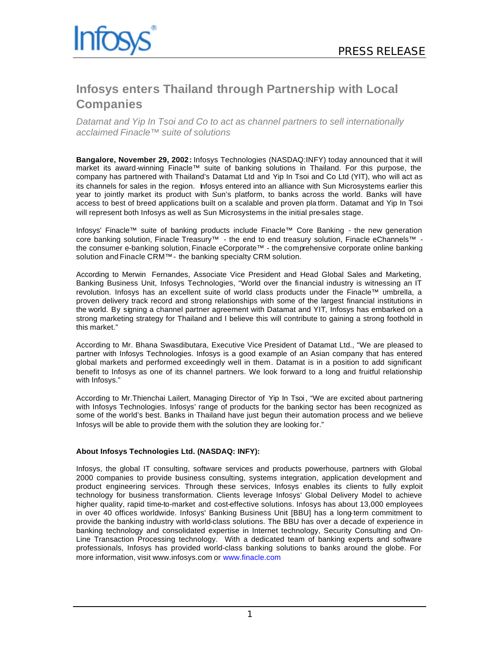

# **Infosys enters Thailand through Partnership with Local Companies**

*Datamat and Yip In Tsoi and Co to act as channel partners to sell internationally acclaimed Finacle™ suite of solutions*

**Bangalore, November 29, 2002:** Infosys Technologies (NASDAQ:INFY) today announced that it will market its award-winning Finacle™ suite of banking solutions in Thailand. For this purpose, the company has partnered with Thailand's Datamat Ltd and Yip In Tsoi and Co Ltd (YIT), who will act as its channels for sales in the region. Infosys entered into an alliance with Sun Microsystems earlier this year to jointly market its product with Sun's platform, to banks across the world. Banks will have access to best of breed applications built on a scalable and proven pla tform. Datamat and Yip In Tsoi will represent both Infosys as well as Sun Microsystems in the initial pre-sales stage.

Infosys' Finacle™ suite of banking products include Finacle™ Core Banking - the new generation core banking solution, Finacle Treasury™ - the end to end treasury solution, Finacle eChannels™ the consumer e-banking solution, Finacle eCorporate™ - the comprehensive corporate online banking solution and Finacle CRM™- the banking specialty CRM solution.

According to Merwin Fernandes, Associate Vice President and Head Global Sales and Marketing, Banking Business Unit, Infosys Technologies, "World over the financial industry is witnessing an IT revolution. Infosys has an excellent suite of world class products under the Finacle™ umbrella, a proven delivery track record and strong relationships with some of the largest financial institutions in the world. By signing a channel partner agreement with Datamat and YIT, Infosys has embarked on a strong marketing strategy for Thailand and I believe this will contribute to gaining a strong foothold in this market."

According to Mr. Bhana Swasdibutara, Executive Vice President of Datamat Ltd., "We are pleased to partner with Infosys Technologies. Infosys is a good example of an Asian company that has entered global markets and performed exceedingly well in them. Datamat is in a position to add significant benefit to Infosys as one of its channel partners. We look forward to a long and fruitful relationship with Infosys."

According to Mr.Thienchai Lailert, Managing Director of Yip In Tsoi, "We are excited about partnering with Infosys Technologies. Infosys' range of products for the banking sector has been recognized as some of the world's best. Banks in Thailand have just begun their automation process and we believe Infosys will be able to provide them with the solution they are looking for."

# **About Infosys Technologies Ltd. (NASDAQ: INFY):**

Infosys, the global IT consulting, software services and products powerhouse, partners with Global 2000 companies to provide business consulting, systems integration, application development and product engineering services. Through these services, Infosys enables its clients to fully exploit technology for business transformation. Clients leverage Infosys' Global Delivery Model to achieve higher quality, rapid time-to-market and cost-effective solutions. Infosys has about 13,000 employees in over 40 offices worldwide. Infosys' Banking Business Unit [BBU] has a long-term commitment to provide the banking industry with world-class solutions. The BBU has over a decade of experience in banking technology and consolidated expertise in Internet technology, Security Consulting and On-Line Transaction Processing technology. With a dedicated team of banking experts and software professionals, Infosys has provided world-class banking solutions to banks around the globe. For more information, visit www.infosys.com or www.finacle.com